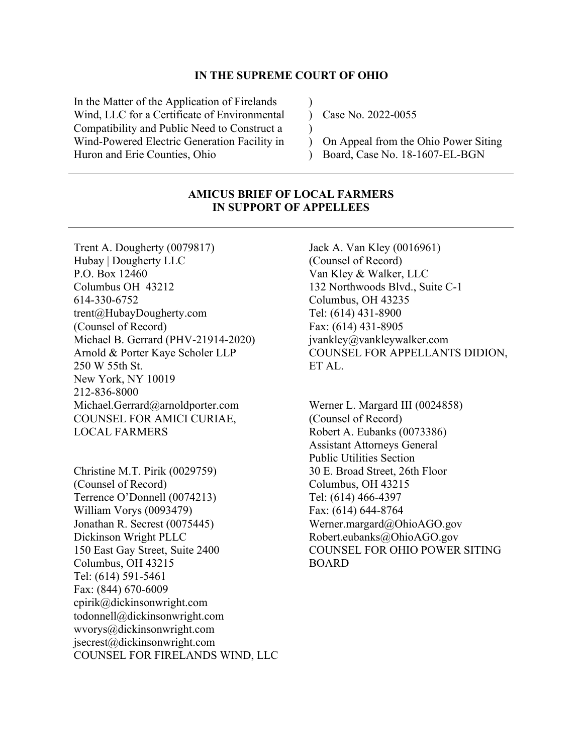#### **IN THE SUPREME COURT OF OHIO**

)  $\lambda$ )

In the Matter of the Application of Firelands Wind, LLC for a Certificate of Environmental Compatibility and Public Need to Construct a Wind-Powered Electric Generation Facility in Huron and Erie Counties, Ohio

Case No. 2022-0055

 $\mathcal{L}$  $\mathcal{L}$ On Appeal from the Ohio Power Siting Board, Case No. 18-1607-EL-BGN

## **AMICUS BRIEF OF LOCAL FARMERS IN SUPPORT OF APPELLEES**

Trent A. Dougherty (0079817) Hubay | Dougherty LLC P.O. Box 12460 Columbus OH 43212 614-330-6752 trent@HubayDougherty.com (Counsel of Record) Michael B. Gerrard (PHV-21914-2020) Arnold & Porter Kaye Scholer LLP 250 W 55th St. New York, NY 10019 212-836-8000 Michael.Gerrard@arnoldporter.com COUNSEL FOR AMICI CURIAE, LOCAL FARMERS

Christine M.T. Pirik (0029759) (Counsel of Record) Terrence O'Donnell (0074213) William Vorys (0093479) Jonathan R. Secrest (0075445) Dickinson Wright PLLC 150 East Gay Street, Suite 2400 Columbus, OH 43215 Tel: (614) 591-5461 Fax: (844) 670-6009 cpirik@dickinsonwright.com todonnell@dickinsonwright.com wvorys@dickinsonwright.com jsecrest@dickinsonwright.com COUNSEL FOR FIRELANDS WIND, LLC Jack A. Van Kley (0016961) (Counsel of Record) Van Kley & Walker, LLC 132 Northwoods Blvd., Suite C-1 Columbus, OH 43235 Tel: (614) 431-8900 Fax: (614) 431-8905 jvankley@vankleywalker.com COUNSEL FOR APPELLANTS DIDION, ET AL.

Werner L. Margard III (0024858) (Counsel of Record) Robert A. Eubanks (0073386) Assistant Attorneys General Public Utilities Section 30 E. Broad Street, 26th Floor Columbus, OH 43215 Tel: (614) 466-4397 Fax: (614) 644-8764 Werner.margard@OhioAGO.gov Robert.eubanks@OhioAGO.gov COUNSEL FOR OHIO POWER SITING BOARD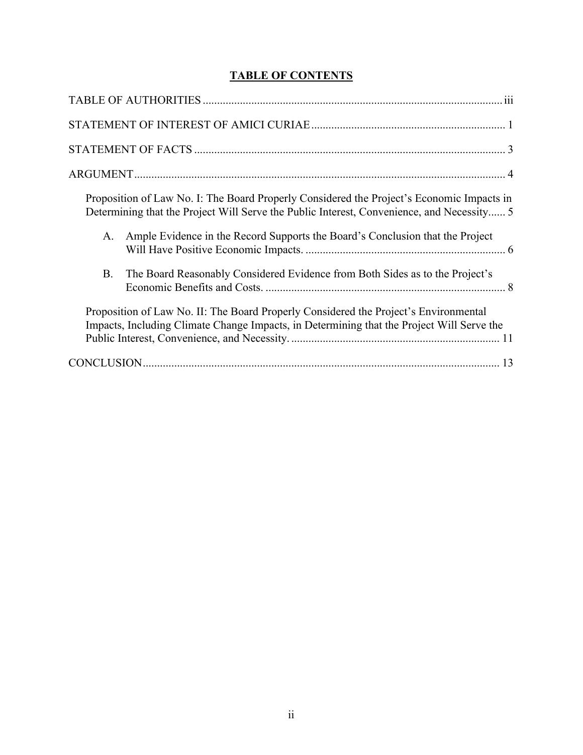# **TABLE OF CONTENTS**

| Proposition of Law No. I: The Board Properly Considered the Project's Economic Impacts in<br>Determining that the Project Will Serve the Public Interest, Convenience, and Necessity 5 |
|----------------------------------------------------------------------------------------------------------------------------------------------------------------------------------------|
| Ample Evidence in the Record Supports the Board's Conclusion that the Project<br>A.                                                                                                    |
| The Board Reasonably Considered Evidence from Both Sides as to the Project's<br><b>B.</b>                                                                                              |
| Proposition of Law No. II: The Board Properly Considered the Project's Environmental<br>Impacts, Including Climate Change Impacts, in Determining that the Project Will Serve the      |
|                                                                                                                                                                                        |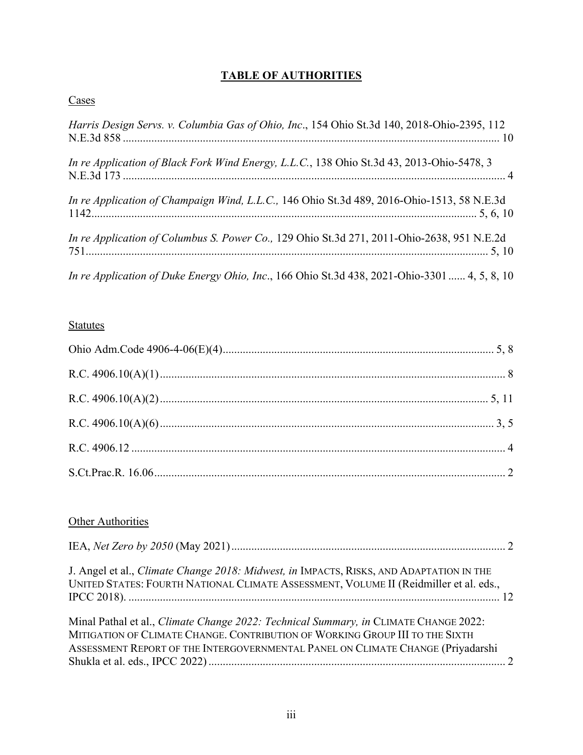# **TABLE OF AUTHORITIES**

## <span id="page-2-0"></span>**Cases**

| Harris Design Servs. v. Columbia Gas of Ohio, Inc., 154 Ohio St.3d 140, 2018-Ohio-2395, 112  |
|----------------------------------------------------------------------------------------------|
| In re Application of Black Fork Wind Energy, L.L.C., 138 Ohio St.3d 43, 2013-Ohio-5478, 3    |
| In re Application of Champaign Wind, L.L.C., 146 Ohio St.3d 489, 2016-Ohio-1513, 58 N.E.3d   |
| In re Application of Columbus S. Power Co., 129 Ohio St.3d 271, 2011-Ohio-2638, 951 N.E.2d   |
| In re Application of Duke Energy Ohio, Inc., 166 Ohio St.3d 438, 2021-Ohio-3301  4, 5, 8, 10 |

## **Statutes**

# **Other Authorities**

| J. Angel et al., <i>Climate Change 2018: Midwest, in</i> IMPACTS, RISKS, AND ADAPTATION IN THE<br>UNITED STATES: FOURTH NATIONAL CLIMATE ASSESSMENT, VOLUME II (Reidmiller et al. eds.,                                                                 |  |
|---------------------------------------------------------------------------------------------------------------------------------------------------------------------------------------------------------------------------------------------------------|--|
| Minal Pathal et al., Climate Change 2022: Technical Summary, in CLIMATE CHANGE 2022:<br>MITIGATION OF CLIMATE CHANGE. CONTRIBUTION OF WORKING GROUP III TO THE SIXTH<br>ASSESSMENT REPORT OF THE INTERGOVERNMENTAL PANEL ON CLIMATE CHANGE (Priyadarshi |  |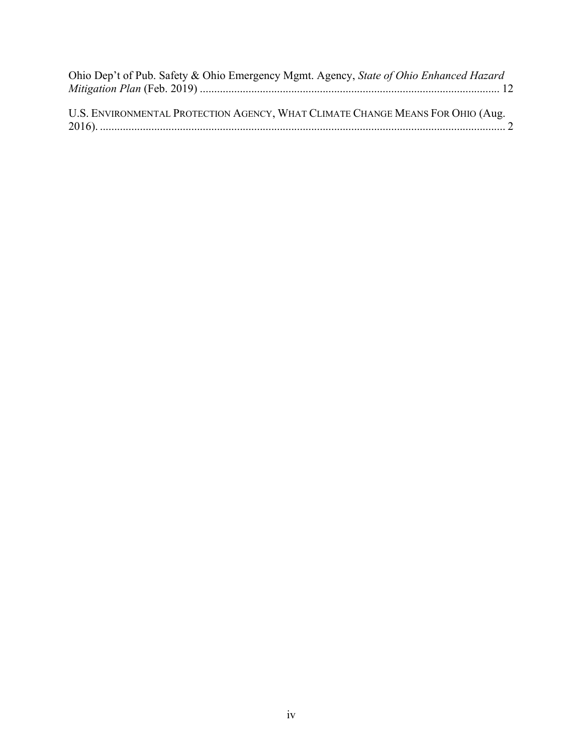| Ohio Dep't of Pub. Safety & Ohio Emergency Mgmt. Agency, State of Ohio Enhanced Hazard |  |
|----------------------------------------------------------------------------------------|--|
|                                                                                        |  |
|                                                                                        |  |
| IIS ENVIDONMENTAL PROTECTION AGENCY WHAT CLIMATE CHANGE MEANS FOR OHIO (AUG)           |  |

| U.S. ENVIRONMENTAL PROTECTION AGENCY, WHAT CLIMATE CHANGE MEANS FOR OHIO (AUG. |  |
|--------------------------------------------------------------------------------|--|
|                                                                                |  |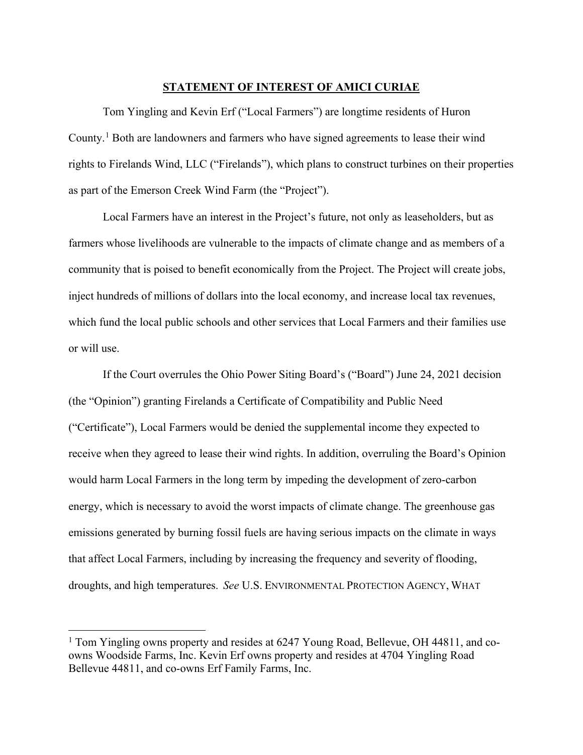### **STATEMENT OF INTEREST OF AMICI CURIAE**

<span id="page-4-0"></span>Tom Yingling and Kevin Erf ("Local Farmers") are longtime residents of Huron County.[1](#page-4-1) Both are landowners and farmers who have signed agreements to lease their wind rights to Firelands Wind, LLC ("Firelands"), which plans to construct turbines on their properties as part of the Emerson Creek Wind Farm (the "Project").

Local Farmers have an interest in the Project's future, not only as leaseholders, but as farmers whose livelihoods are vulnerable to the impacts of climate change and as members of a community that is poised to benefit economically from the Project. The Project will create jobs, inject hundreds of millions of dollars into the local economy, and increase local tax revenues, which fund the local public schools and other services that Local Farmers and their families use or will use.

If the Court overrules the Ohio Power Siting Board's ("Board") June 24, 2021 decision (the "Opinion") granting Firelands a Certificate of Compatibility and Public Need ("Certificate"), Local Farmers would be denied the supplemental income they expected to receive when they agreed to lease their wind rights. In addition, overruling the Board's Opinion would harm Local Farmers in the long term by impeding the development of zero-carbon energy, which is necessary to avoid the worst impacts of climate change. The greenhouse gas emissions generated by burning fossil fuels are having serious impacts on the climate in ways that affect Local Farmers, including by increasing the frequency and severity of flooding, droughts, and high temperatures. *See* U.S. ENVIRONMENTAL PROTECTION AGENCY, WHAT

<span id="page-4-1"></span><sup>&</sup>lt;sup>1</sup> Tom Yingling owns property and resides at 6247 Young Road, Bellevue, OH 44811, and coowns Woodside Farms, Inc. Kevin Erf owns property and resides at 4704 Yingling Road Bellevue 44811, and co-owns Erf Family Farms, Inc.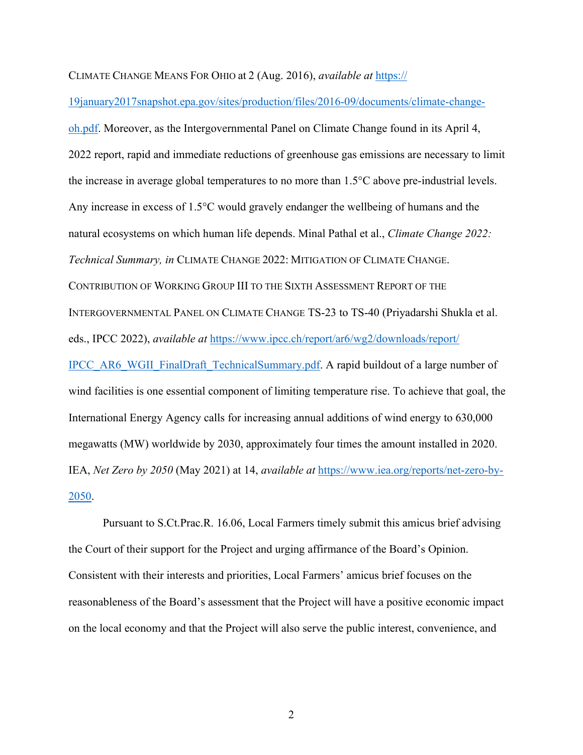## CLIMATE CHANGE MEANS FOR OHIO at 2 (Aug. 2016), *available at* [https://](https://19january2017snapshot.epa.gov/sites/production/files/2016-09/documents/climate-change-oh.pdf)

[19january2017snapshot.epa.gov/sites/production/files/2016-09/documents/climate-change-](https://19january2017snapshot.epa.gov/sites/production/files/2016-09/documents/climate-change-oh.pdf)

[oh.pdf.](https://19january2017snapshot.epa.gov/sites/production/files/2016-09/documents/climate-change-oh.pdf) Moreover, as the Intergovernmental Panel on Climate Change found in its April 4, 2022 report, rapid and immediate reductions of greenhouse gas emissions are necessary to limit the increase in average global temperatures to no more than 1.5°C above pre-industrial levels. Any increase in excess of 1.5°C would gravely endanger the wellbeing of humans and the natural ecosystems on which human life depends. Minal Pathal et al., *Climate Change 2022: Technical Summary, in* CLIMATE CHANGE 2022: MITIGATION OF CLIMATE CHANGE. CONTRIBUTION OF WORKING GROUP III TO THE SIXTH ASSESSMENT REPORT OF THE INTERGOVERNMENTAL PANEL ON CLIMATE CHANGE TS-23 to TS-40 (Priyadarshi Shukla et al. eds., IPCC 2022), *available at* [https://www.ipcc.ch/report/ar6/wg2/downloads/report/](https://www.ipcc.ch/report/ar6/wg2/downloads/report/%E2%80%8BIPCC_AR6_WGII_FinalDraft_TechnicalSummary.pdf) [IPCC\\_AR6\\_WGII\\_FinalDraft\\_TechnicalSummary.pdf.](https://www.ipcc.ch/report/ar6/wg2/downloads/report/%E2%80%8BIPCC_AR6_WGII_FinalDraft_TechnicalSummary.pdf) A rapid buildout of a large number of wind facilities is one essential component of limiting temperature rise. To achieve that goal, the International Energy Agency calls for increasing annual additions of wind energy to 630,000 megawatts (MW) worldwide by 2030, approximately four times the amount installed in 2020. IEA, *Net Zero by 2050* (May 2021) at 14, *available at* [https://www.iea.org/reports/net-zero-by-](https://www.iea.org/reports/net-zero-by-2050)[2050.](https://www.iea.org/reports/net-zero-by-2050)

Pursuant to S.Ct.Prac.R. 16.06, Local Farmers timely submit this amicus brief advising the Court of their support for the Project and urging affirmance of the Board's Opinion. Consistent with their interests and priorities, Local Farmers' amicus brief focuses on the reasonableness of the Board's assessment that the Project will have a positive economic impact on the local economy and that the Project will also serve the public interest, convenience, and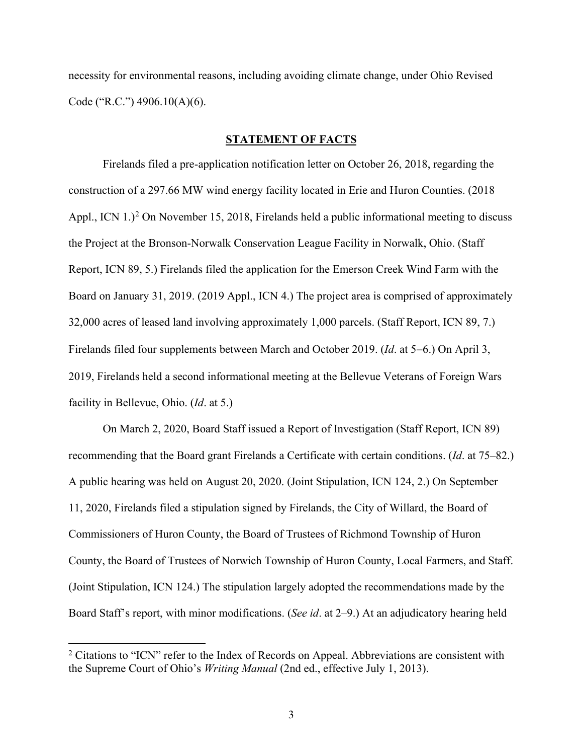necessity for environmental reasons, including avoiding climate change, under Ohio Revised Code ("R.C.") 4906.10(A)(6).

#### **STATEMENT OF FACTS**

<span id="page-6-0"></span>Firelands filed a pre-application notification letter on October 26, 2018, regarding the construction of a 297.66 MW wind energy facility located in Erie and Huron Counties. (2018 Appl., ICN  $1.$ )<sup>[2](#page-6-1)</sup> On November 15, 2018, Firelands held a public informational meeting to discuss the Project at the Bronson-Norwalk Conservation League Facility in Norwalk, Ohio. (Staff Report, ICN 89, 5.) Firelands filed the application for the Emerson Creek Wind Farm with the Board on January 31, 2019. (2019 Appl., ICN 4.) The project area is comprised of approximately 32,000 acres of leased land involving approximately 1,000 parcels. (Staff Report, ICN 89, 7.) Firelands filed four supplements between March and October 2019. (*Id*. at 5−6.) On April 3, 2019, Firelands held a second informational meeting at the Bellevue Veterans of Foreign Wars facility in Bellevue, Ohio. (*Id*. at 5.)

On March 2, 2020, Board Staff issued a Report of Investigation (Staff Report, ICN 89) recommending that the Board grant Firelands a Certificate with certain conditions. (*Id*. at 75–82.) A public hearing was held on August 20, 2020. (Joint Stipulation, ICN 124, 2.) On September 11, 2020, Firelands filed a stipulation signed by Firelands, the City of Willard, the Board of Commissioners of Huron County, the Board of Trustees of Richmond Township of Huron County, the Board of Trustees of Norwich Township of Huron County, Local Farmers, and Staff. (Joint Stipulation, ICN 124.) The stipulation largely adopted the recommendations made by the Board Staff's report, with minor modifications. (*See id*. at 2–9.) At an adjudicatory hearing held

<span id="page-6-1"></span><sup>&</sup>lt;sup>2</sup> Citations to "ICN" refer to the Index of Records on Appeal. Abbreviations are consistent with the Supreme Court of Ohio's *Writing Manual* (2nd ed., effective July 1, 2013).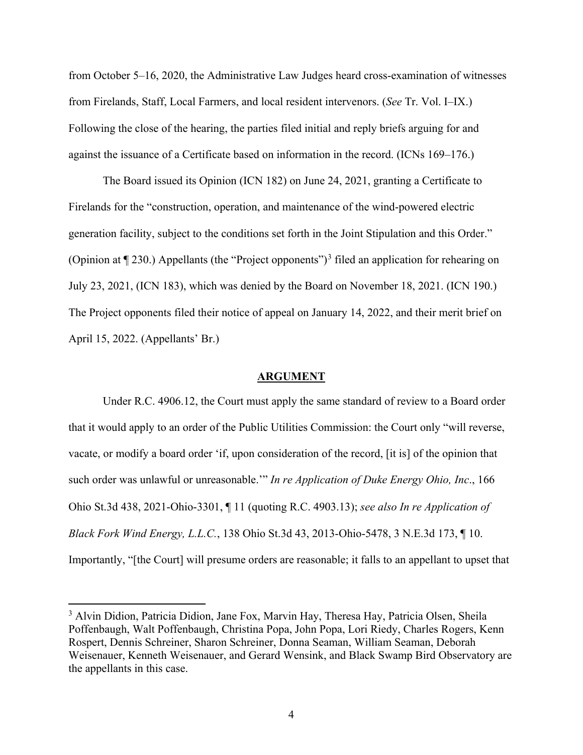from October 5–16, 2020, the Administrative Law Judges heard cross-examination of witnesses from Firelands, Staff, Local Farmers, and local resident intervenors. (*See* Tr. Vol. I–IX.) Following the close of the hearing, the parties filed initial and reply briefs arguing for and against the issuance of a Certificate based on information in the record. (ICNs 169–176.)

The Board issued its Opinion (ICN 182) on June 24, 2021, granting a Certificate to Firelands for the "construction, operation, and maintenance of the wind-powered electric generation facility, subject to the conditions set forth in the Joint Stipulation and this Order." (Opinion at  $\P$  2[3](#page-7-1)0.) Appellants (the "Project opponents")<sup>3</sup> filed an application for rehearing on July 23, 2021, (ICN 183), which was denied by the Board on November 18, 2021. (ICN 190.) The Project opponents filed their notice of appeal on January 14, 2022, and their merit brief on April 15, 2022. (Appellants' Br.)

#### **ARGUMENT**

<span id="page-7-0"></span>Under R.C. 4906.12, the Court must apply the same standard of review to a Board order that it would apply to an order of the Public Utilities Commission: the Court only "will reverse, vacate, or modify a board order 'if, upon consideration of the record, [it is] of the opinion that such order was unlawful or unreasonable.'" *In re Application of Duke Energy Ohio, Inc*., 166 Ohio St.3d 438, 2021-Ohio-3301, ¶ 11 (quoting R.C. 4903.13); *see also In re Application of Black Fork Wind Energy, L.L.C.*, 138 Ohio St.3d 43, 2013-Ohio-5478, 3 N.E.3d 173, ¶ 10. Importantly, "[the Court] will presume orders are reasonable; it falls to an appellant to upset that

<span id="page-7-1"></span><sup>&</sup>lt;sup>3</sup> Alvin Didion, Patricia Didion, Jane Fox, Marvin Hay, Theresa Hay, Patricia Olsen, Sheila Poffenbaugh, Walt Poffenbaugh, Christina Popa, John Popa, Lori Riedy, Charles Rogers, Kenn Rospert, Dennis Schreiner, Sharon Schreiner, Donna Seaman, William Seaman, Deborah Weisenauer, Kenneth Weisenauer, and Gerard Wensink, and Black Swamp Bird Observatory are the appellants in this case.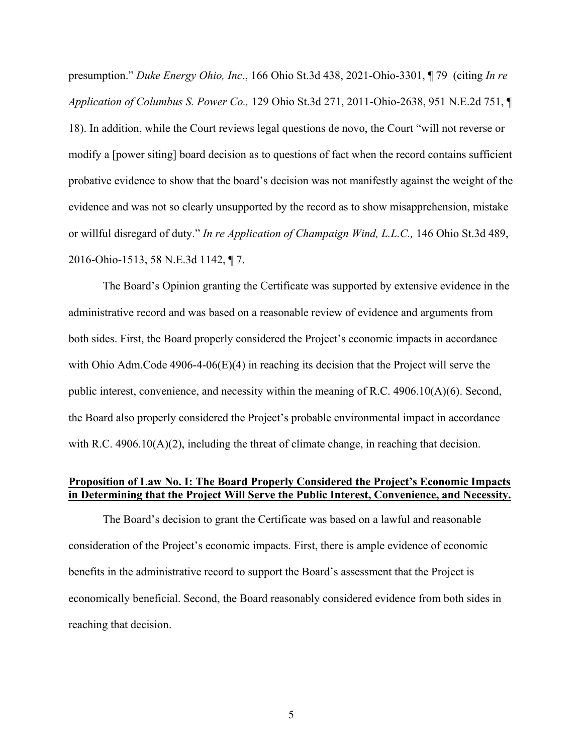presumption." *Duke Energy Ohio, Inc*., 166 Ohio St.3d 438, 2021-Ohio-3301, ¶ 79 (citing *In re Application of Columbus S. Power Co.,* 129 Ohio St.3d 271, 2011-Ohio-2638, 951 N.E.2d 751, ¶ 18). In addition, while the Court reviews legal questions de novo, the Court "will not reverse or modify a [power siting] board decision as to questions of fact when the record contains sufficient probative evidence to show that the board's decision was not manifestly against the weight of the evidence and was not so clearly unsupported by the record as to show misapprehension, mistake or willful disregard of duty." *In re Application of Champaign Wind, L.L.C.,* 146 Ohio St.3d 489, 2016-Ohio-1513, 58 N.E.3d 1142, ¶ 7.

The Board's Opinion granting the Certificate was supported by extensive evidence in the administrative record and was based on a reasonable review of evidence and arguments from both sides. First, the Board properly considered the Project's economic impacts in accordance with Ohio Adm.Code 4906-4-06(E)(4) in reaching its decision that the Project will serve the public interest, convenience, and necessity within the meaning of R.C. 4906.10(A)(6). Second, the Board also properly considered the Project's probable environmental impact in accordance with R.C.  $4906.10(A)(2)$ , including the threat of climate change, in reaching that decision.

## <span id="page-8-0"></span>**Proposition of Law No. I: The Board Properly Considered the Project's Economic Impacts in Determining that the Project Will Serve the Public Interest, Convenience, and Necessity.**

The Board's decision to grant the Certificate was based on a lawful and reasonable consideration of the Project's economic impacts. First, there is ample evidence of economic benefits in the administrative record to support the Board's assessment that the Project is economically beneficial. Second, the Board reasonably considered evidence from both sides in reaching that decision.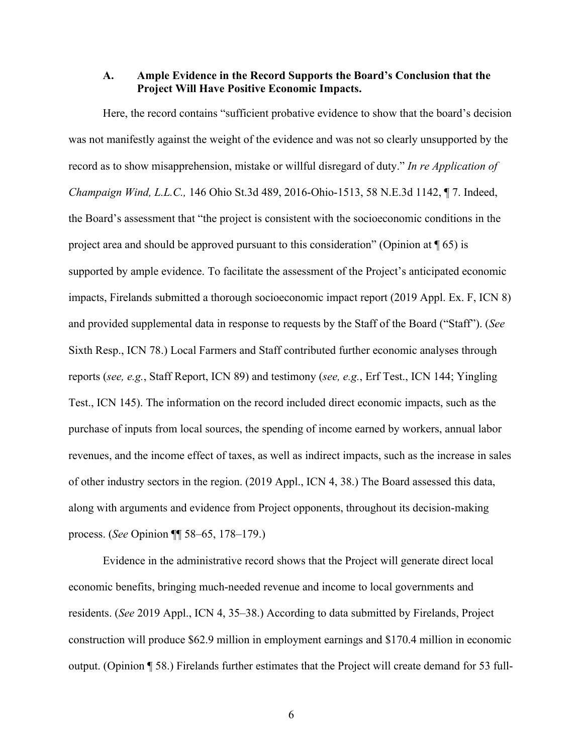## <span id="page-9-0"></span>**A. Ample Evidence in the Record Supports the Board's Conclusion that the Project Will Have Positive Economic Impacts.**

Here, the record contains "sufficient probative evidence to show that the board's decision was not manifestly against the weight of the evidence and was not so clearly unsupported by the record as to show misapprehension, mistake or willful disregard of duty." *In re Application of Champaign Wind, L.L.C.,* 146 Ohio St.3d 489, 2016-Ohio-1513, 58 N.E.3d 1142, ¶ 7. Indeed, the Board's assessment that "the project is consistent with the socioeconomic conditions in the project area and should be approved pursuant to this consideration" (Opinion at  $\P$  65) is supported by ample evidence. To facilitate the assessment of the Project's anticipated economic impacts, Firelands submitted a thorough socioeconomic impact report (2019 Appl. Ex. F, ICN 8) and provided supplemental data in response to requests by the Staff of the Board ("Staff"). (*See*  Sixth Resp., ICN 78.) Local Farmers and Staff contributed further economic analyses through reports (*see, e.g.*, Staff Report, ICN 89) and testimony (*see, e.g.*, Erf Test., ICN 144; Yingling Test., ICN 145). The information on the record included direct economic impacts, such as the purchase of inputs from local sources, the spending of income earned by workers, annual labor revenues, and the income effect of taxes, as well as indirect impacts, such as the increase in sales of other industry sectors in the region. (2019 Appl., ICN 4, 38.) The Board assessed this data, along with arguments and evidence from Project opponents, throughout its decision-making process. (*See* Opinion ¶¶ 58–65, 178–179.)

Evidence in the administrative record shows that the Project will generate direct local economic benefits, bringing much-needed revenue and income to local governments and residents. (*See* 2019 Appl., ICN 4, 35–38.) According to data submitted by Firelands, Project construction will produce \$62.9 million in employment earnings and \$170.4 million in economic output. (Opinion ¶ 58.) Firelands further estimates that the Project will create demand for 53 full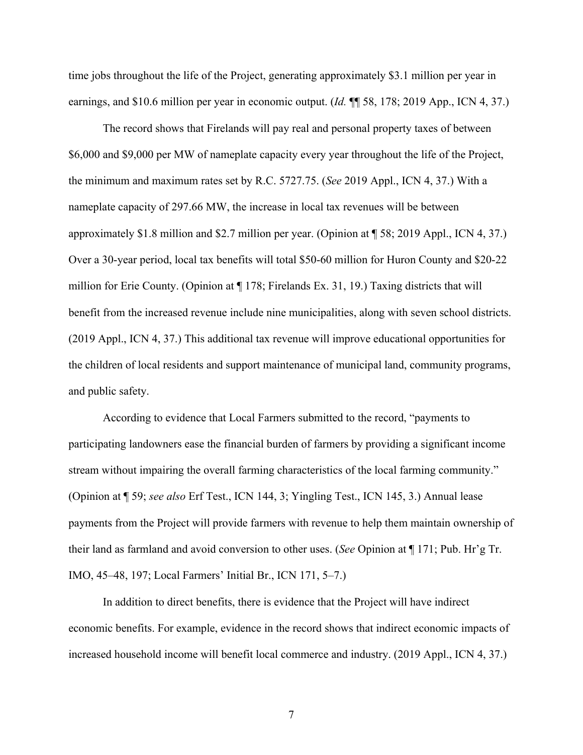time jobs throughout the life of the Project, generating approximately \$3.1 million per year in earnings, and \$10.6 million per year in economic output. (*Id.* ¶¶ 58, 178; 2019 App., ICN 4, 37.)

The record shows that Firelands will pay real and personal property taxes of between \$6,000 and \$9,000 per MW of nameplate capacity every year throughout the life of the Project, the minimum and maximum rates set by R.C. 5727.75. (*See* 2019 Appl., ICN 4, 37.) With a nameplate capacity of 297.66 MW, the increase in local tax revenues will be between approximately \$1.8 million and \$2.7 million per year. (Opinion at ¶ 58; 2019 Appl., ICN 4, 37.) Over a 30-year period, local tax benefits will total \$50-60 million for Huron County and \$20-22 million for Erie County. (Opinion at ¶ 178; Firelands Ex. 31, 19.) Taxing districts that will benefit from the increased revenue include nine municipalities, along with seven school districts. (2019 Appl., ICN 4, 37.) This additional tax revenue will improve educational opportunities for the children of local residents and support maintenance of municipal land, community programs, and public safety.

According to evidence that Local Farmers submitted to the record, "payments to participating landowners ease the financial burden of farmers by providing a significant income stream without impairing the overall farming characteristics of the local farming community." (Opinion at ¶ 59; *see also* Erf Test., ICN 144, 3; Yingling Test., ICN 145, 3.) Annual lease payments from the Project will provide farmers with revenue to help them maintain ownership of their land as farmland and avoid conversion to other uses. (*See* Opinion at ¶ 171; Pub. Hr'g Tr. IMO, 45–48, 197; Local Farmers' Initial Br., ICN 171, 5–7.)

In addition to direct benefits, there is evidence that the Project will have indirect economic benefits. For example, evidence in the record shows that indirect economic impacts of increased household income will benefit local commerce and industry. (2019 Appl., ICN 4, 37.)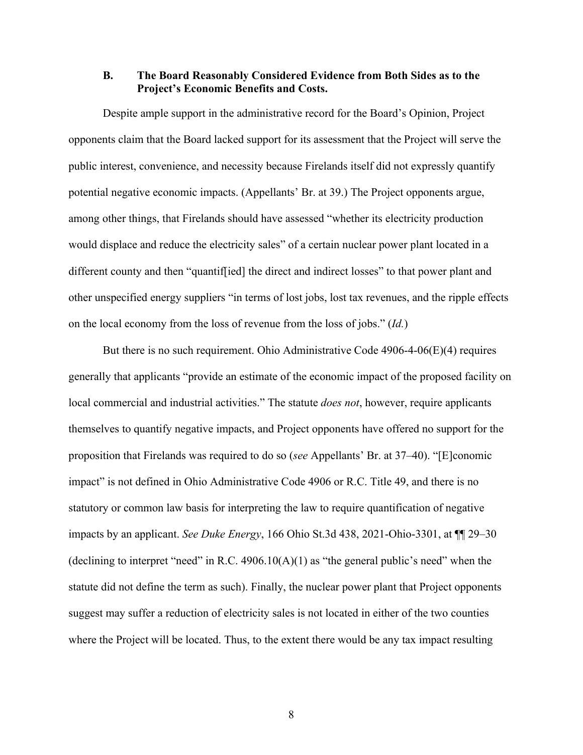### <span id="page-11-0"></span>**B. The Board Reasonably Considered Evidence from Both Sides as to the Project's Economic Benefits and Costs.**

Despite ample support in the administrative record for the Board's Opinion, Project opponents claim that the Board lacked support for its assessment that the Project will serve the public interest, convenience, and necessity because Firelands itself did not expressly quantify potential negative economic impacts. (Appellants' Br. at 39.) The Project opponents argue, among other things, that Firelands should have assessed "whether its electricity production would displace and reduce the electricity sales" of a certain nuclear power plant located in a different county and then "quantif[ied] the direct and indirect losses" to that power plant and other unspecified energy suppliers "in terms of lost jobs, lost tax revenues, and the ripple effects on the local economy from the loss of revenue from the loss of jobs." (*Id.*)

But there is no such requirement. Ohio Administrative Code  $4906-4-06(E)(4)$  requires generally that applicants "provide an estimate of the economic impact of the proposed facility on local commercial and industrial activities." The statute *does not*, however, require applicants themselves to quantify negative impacts, and Project opponents have offered no support for the proposition that Firelands was required to do so (*see* Appellants' Br. at 37–40). "[E]conomic impact" is not defined in Ohio Administrative Code 4906 or R.C. Title 49, and there is no statutory or common law basis for interpreting the law to require quantification of negative impacts by an applicant. *See Duke Energy*, 166 Ohio St.3d 438, 2021-Ohio-3301, at ¶¶ 29–30 (declining to interpret "need" in R.C.  $4906.10(A)(1)$  as "the general public's need" when the statute did not define the term as such). Finally, the nuclear power plant that Project opponents suggest may suffer a reduction of electricity sales is not located in either of the two counties where the Project will be located. Thus, to the extent there would be any tax impact resulting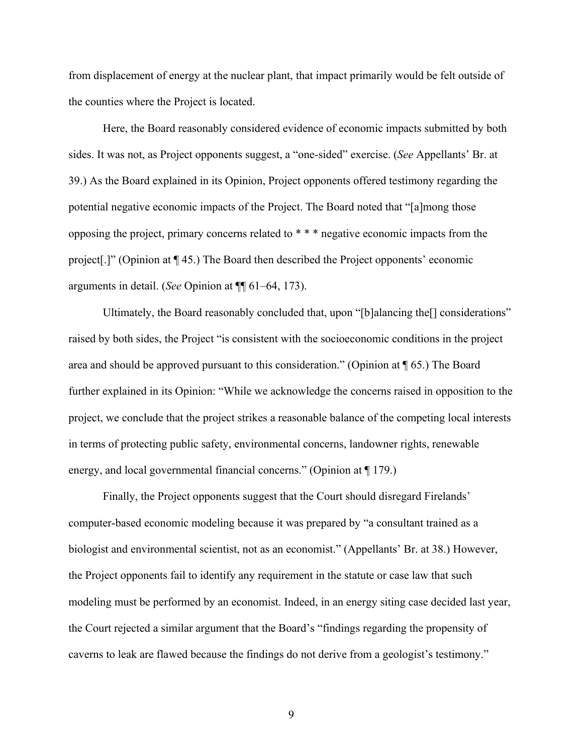from displacement of energy at the nuclear plant, that impact primarily would be felt outside of the counties where the Project is located.

Here, the Board reasonably considered evidence of economic impacts submitted by both sides. It was not, as Project opponents suggest, a "one-sided" exercise. (*See* Appellants' Br. at 39.) As the Board explained in its Opinion, Project opponents offered testimony regarding the potential negative economic impacts of the Project. The Board noted that "[a]mong those opposing the project, primary concerns related to \* \* \* negative economic impacts from the project[.]" (Opinion at ¶ 45.) The Board then described the Project opponents' economic arguments in detail. (*See* Opinion at ¶¶ 61–64, 173).

Ultimately, the Board reasonably concluded that, upon "[b]alancing the[] considerations" raised by both sides, the Project "is consistent with the socioeconomic conditions in the project area and should be approved pursuant to this consideration." (Opinion at  $\P$  65.) The Board further explained in its Opinion: "While we acknowledge the concerns raised in opposition to the project, we conclude that the project strikes a reasonable balance of the competing local interests in terms of protecting public safety, environmental concerns, landowner rights, renewable energy, and local governmental financial concerns." (Opinion at ¶ 179.)

Finally, the Project opponents suggest that the Court should disregard Firelands' computer-based economic modeling because it was prepared by "a consultant trained as a biologist and environmental scientist, not as an economist." (Appellants' Br. at 38.) However, the Project opponents fail to identify any requirement in the statute or case law that such modeling must be performed by an economist. Indeed, in an energy siting case decided last year, the Court rejected a similar argument that the Board's "findings regarding the propensity of caverns to leak are flawed because the findings do not derive from a geologist's testimony."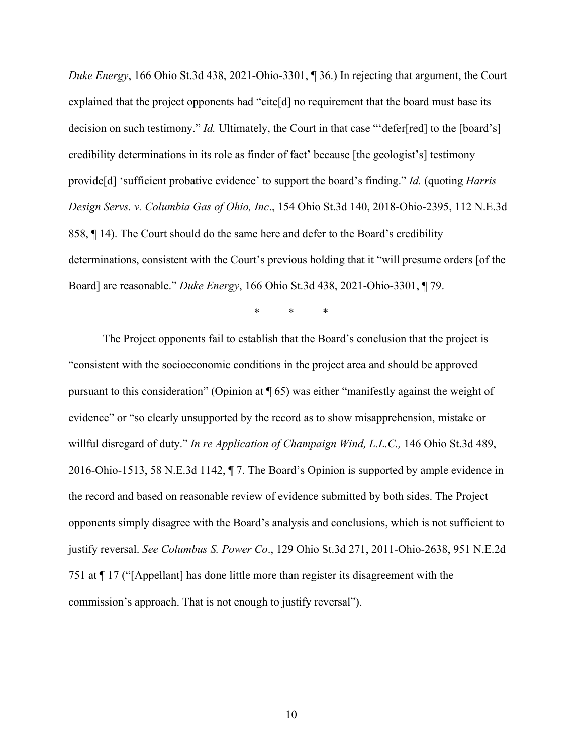*Duke Energy*, 166 Ohio St.3d 438, 2021-Ohio-3301, ¶ 36.) In rejecting that argument, the Court explained that the project opponents had "cite[d] no requirement that the board must base its decision on such testimony." *Id.* Ultimately, the Court in that case "'defer[red] to the [board's] credibility determinations in its role as finder of fact' because [the geologist's] testimony provide[d] 'sufficient probative evidence' to support the board's finding." *Id.* (quoting *Harris Design Servs. v. Columbia Gas of Ohio, Inc*., 154 Ohio St.3d 140, 2018-Ohio-2395, 112 N.E.3d 858, ¶ 14). The Court should do the same here and defer to the Board's credibility determinations, consistent with the Court's previous holding that it "will presume orders [of the Board] are reasonable." *Duke Energy*, 166 Ohio St.3d 438, 2021-Ohio-3301, ¶ 79.

\* \* \*

The Project opponents fail to establish that the Board's conclusion that the project is "consistent with the socioeconomic conditions in the project area and should be approved pursuant to this consideration" (Opinion at ¶ 65) was either "manifestly against the weight of evidence" or "so clearly unsupported by the record as to show misapprehension, mistake or willful disregard of duty." *In re Application of Champaign Wind, L.L.C.,* 146 Ohio St.3d 489, 2016-Ohio-1513, 58 N.E.3d 1142, ¶ 7. The Board's Opinion is supported by ample evidence in the record and based on reasonable review of evidence submitted by both sides. The Project opponents simply disagree with the Board's analysis and conclusions, which is not sufficient to justify reversal. *See Columbus S. Power Co*., 129 Ohio St.3d 271, 2011-Ohio-2638, 951 N.E.2d 751 at ¶ 17 ("[Appellant] has done little more than register its disagreement with the commission's approach. That is not enough to justify reversal").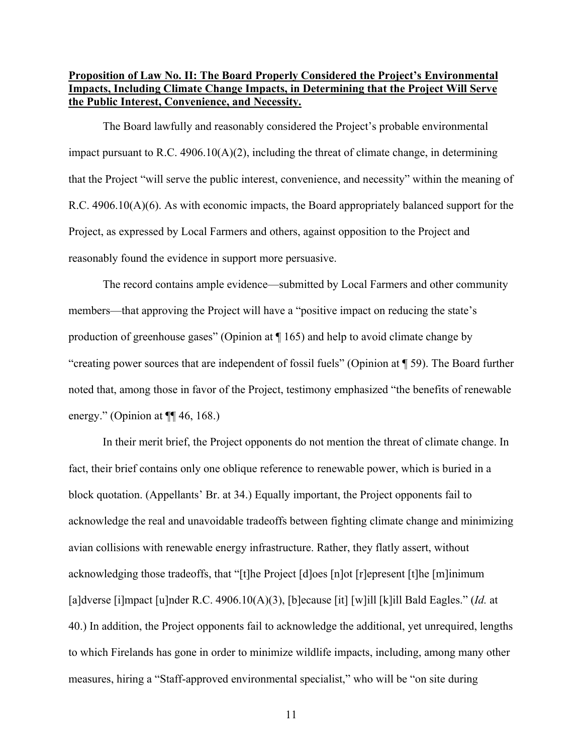## <span id="page-14-0"></span>**Proposition of Law No. II: The Board Properly Considered the Project's Environmental Impacts, Including Climate Change Impacts, in Determining that the Project Will Serve the Public Interest, Convenience, and Necessity.**

The Board lawfully and reasonably considered the Project's probable environmental impact pursuant to R.C. 4906.10( $A$ )(2), including the threat of climate change, in determining that the Project "will serve the public interest, convenience, and necessity" within the meaning of R.C. 4906.10(A)(6). As with economic impacts, the Board appropriately balanced support for the Project, as expressed by Local Farmers and others, against opposition to the Project and reasonably found the evidence in support more persuasive.

The record contains ample evidence—submitted by Local Farmers and other community members—that approving the Project will have a "positive impact on reducing the state's production of greenhouse gases" (Opinion at ¶ 165) and help to avoid climate change by "creating power sources that are independent of fossil fuels" (Opinion at ¶ 59). The Board further noted that, among those in favor of the Project, testimony emphasized "the benefits of renewable energy." (Opinion at ¶¶ 46, 168.)

In their merit brief, the Project opponents do not mention the threat of climate change. In fact, their brief contains only one oblique reference to renewable power, which is buried in a block quotation. (Appellants' Br. at 34.) Equally important, the Project opponents fail to acknowledge the real and unavoidable tradeoffs between fighting climate change and minimizing avian collisions with renewable energy infrastructure. Rather, they flatly assert, without acknowledging those tradeoffs, that "[t]he Project [d]oes [n]ot [r]epresent [t]he [m]inimum [a]dverse [i]mpact [u]nder R.C. 4906.10(A)(3), [b]ecause [it] [w]ill [k]ill Bald Eagles." (*Id.* at 40.) In addition, the Project opponents fail to acknowledge the additional, yet unrequired, lengths to which Firelands has gone in order to minimize wildlife impacts, including, among many other measures, hiring a "Staff-approved environmental specialist," who will be "on site during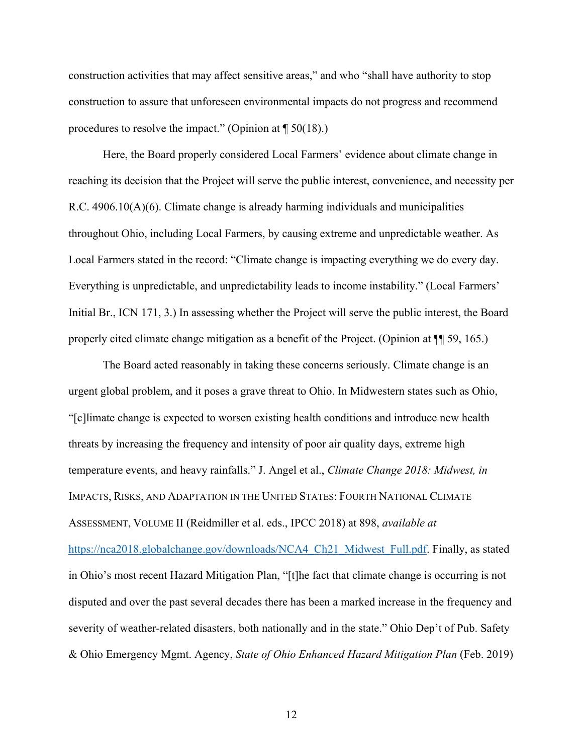construction activities that may affect sensitive areas," and who "shall have authority to stop construction to assure that unforeseen environmental impacts do not progress and recommend procedures to resolve the impact." (Opinion at  $\P$  50(18).)

Here, the Board properly considered Local Farmers' evidence about climate change in reaching its decision that the Project will serve the public interest, convenience, and necessity per R.C. 4906.10(A)(6). Climate change is already harming individuals and municipalities throughout Ohio, including Local Farmers, by causing extreme and unpredictable weather. As Local Farmers stated in the record: "Climate change is impacting everything we do every day. Everything is unpredictable, and unpredictability leads to income instability." (Local Farmers' Initial Br., ICN 171, 3.) In assessing whether the Project will serve the public interest, the Board properly cited climate change mitigation as a benefit of the Project. (Opinion at ¶¶ 59, 165.)

The Board acted reasonably in taking these concerns seriously. Climate change is an urgent global problem, and it poses a grave threat to Ohio. In Midwestern states such as Ohio, "[c]limate change is expected to worsen existing health conditions and introduce new health threats by increasing the frequency and intensity of poor air quality days, extreme high temperature events, and heavy rainfalls." J. Angel et al., *Climate Change 2018: Midwest, in*  IMPACTS, RISKS, AND ADAPTATION IN THE UNITED STATES: FOURTH NATIONAL CLIMATE ASSESSMENT, VOLUME II (Reidmiller et al. eds., IPCC 2018) at 898, *available at*  https://nca2018.globalchange.gov/downloads/NCA4\_Ch21\_Midwest\_Full.pdf. Finally, as stated in Ohio's most recent Hazard Mitigation Plan, "[t]he fact that climate change is occurring is not disputed and over the past several decades there has been a marked increase in the frequency and severity of weather-related disasters, both nationally and in the state." Ohio Dep't of Pub. Safety & Ohio Emergency Mgmt. Agency, *State of Ohio Enhanced Hazard Mitigation Plan* (Feb. 2019)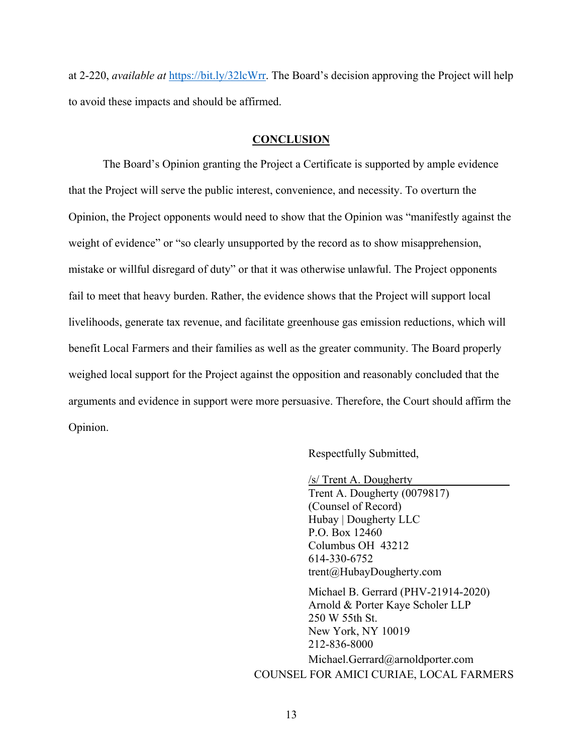at 2-220, *available at* https://bit.ly/32lcWrr. The Board's decision approving the Project will help to avoid these impacts and should be affirmed.

#### **CONCLUSION**

<span id="page-16-0"></span>The Board's Opinion granting the Project a Certificate is supported by ample evidence that the Project will serve the public interest, convenience, and necessity. To overturn the Opinion, the Project opponents would need to show that the Opinion was "manifestly against the weight of evidence" or "so clearly unsupported by the record as to show misapprehension, mistake or willful disregard of duty" or that it was otherwise unlawful. The Project opponents fail to meet that heavy burden. Rather, the evidence shows that the Project will support local livelihoods, generate tax revenue, and facilitate greenhouse gas emission reductions, which will benefit Local Farmers and their families as well as the greater community. The Board properly weighed local support for the Project against the opposition and reasonably concluded that the arguments and evidence in support were more persuasive. Therefore, the Court should affirm the Opinion.

Respectfully Submitted,

/s/ Trent A. Dougherty

Trent A. Dougherty (0079817) (Counsel of Record) Hubay | Dougherty LLC P.O. Box 12460 Columbus OH 43212 614-330-6752 trent@HubayDougherty.com

Michael B. Gerrard (PHV-21914-2020) Arnold & Porter Kaye Scholer LLP 250 W 55th St. New York, NY 10019 212-836-8000 Michael.Gerrard@arnoldporter.com COUNSEL FOR AMICI CURIAE, LOCAL FARMERS